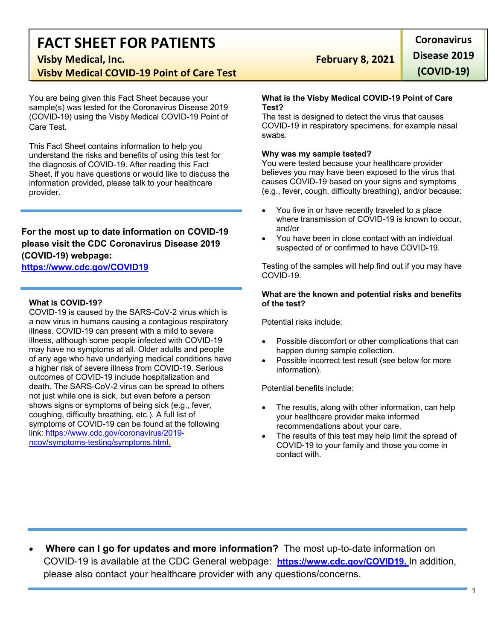# **FACT SHEET FOR PATIENTS Visby Medical, Inc. February 8, 2021**

**Visby Medical COVID-19 Point of Care Test**

You are being given this Fact Sheet because your sample(s) was tested for the Coronavirus Disease 2019 (COVID-19) using the Visby Medical COVID-19 Point of Care Test.

This Fact Sheet contains information to help you understand the risks and benefits of using this test for the diagnosis of COVID-19. After reading this Fact Sheet, if you have questions or would like to discuss the information provided, please talk to your healthcare provider.

# **For the most up to date information on COVID-19 please visit the CDC Coronavirus Disease 2019 (COVID-19) webpage:**

#### **https://www.cdc.gov/COVID19**

#### **What is COVID-19?**

COVID-19 is caused by the SARS-CoV-2 virus which is a new virus in humans causing a contagious respiratory illness. COVID-19 can present with a mild to severe illness, although some people infected with COVID-19 may have no symptoms at all. Older adults and people of any age who have underlying medical conditions have a higher risk of severe illness from COVID-19. Serious outcomes of COVID-19 include hospitalization and death. The SARS-CoV-2 virus can be spread to others not just while one is sick, but even before a person shows signs or symptoms of being sick (e.g., fever, coughing, difficulty breathing, etc.). A full list of symptoms of COVID-19 can be found at the following link: https://www.cdc.gov/coronavirus/2019 ncov/symptoms-testing/symptoms.html.

**Coronavirus Disease 2019 (COVID-19)**

#### **What is the Visby Medical COVID-19 Point of Care Test?**

The test is designed to detect the virus that causes COVID-19 in respiratory specimens, for example nasal swabs.

#### **Why was my sample tested?**

You were tested because your healthcare provider believes you may have been exposed to the virus that causes COVID-19 based on your signs and symptoms (e.g., fever, cough, difficulty breathing), and/or because:

- You live in or have recently traveled to a place where transmission of COVID-19 is known to occur, and/or
- You have been in close contact with an individual suspected of or confirmed to have COVID-19.

Testing of the samples will help find out if you may have COVID-19.

#### **What are the known and potential risks and benefits of the test?**

Potential risks include:

- Possible discomfort or other complications that can happen during sample collection.
- Possible incorrect test result (see below for more information).

Potential benefits include:

- The results, along with other information, can help your healthcare provider make informed recommendations about your care.
- The results of this test may help limit the spread of COVID-19 to your family and those you come in contact with.

• **Where can I go for updates and more information?** The most up-to-date information on COVID-19 is available at the CDC General webpage: **https://www.cdc.gov/COVID19.** In addition, please also contact your healthcare provider with any questions/concerns.